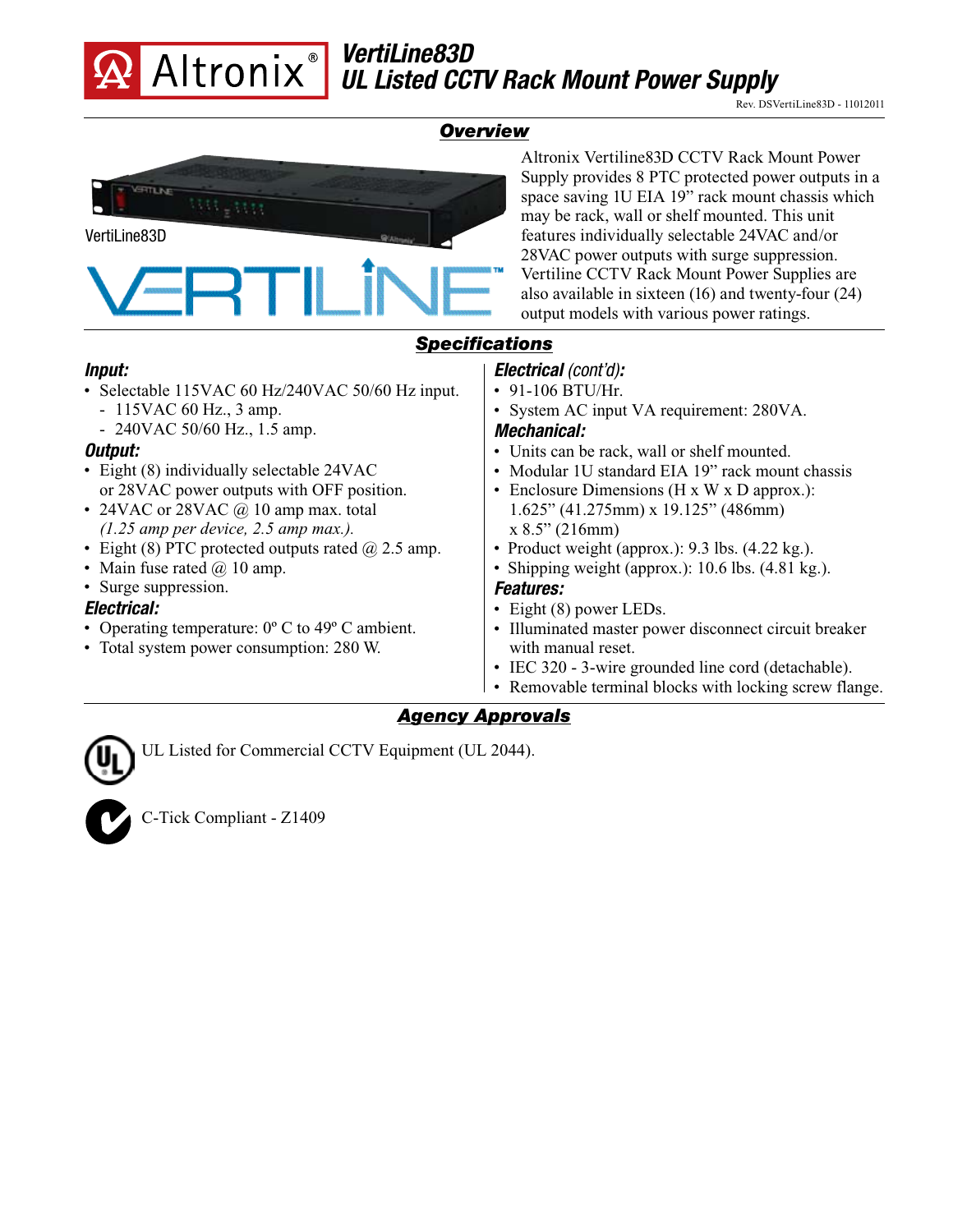

## *Overview*



## *Agency Approvals*

UL Listed for Commercial CCTV Equipment (UL 2044).



C-Tick Compliant - Z1409